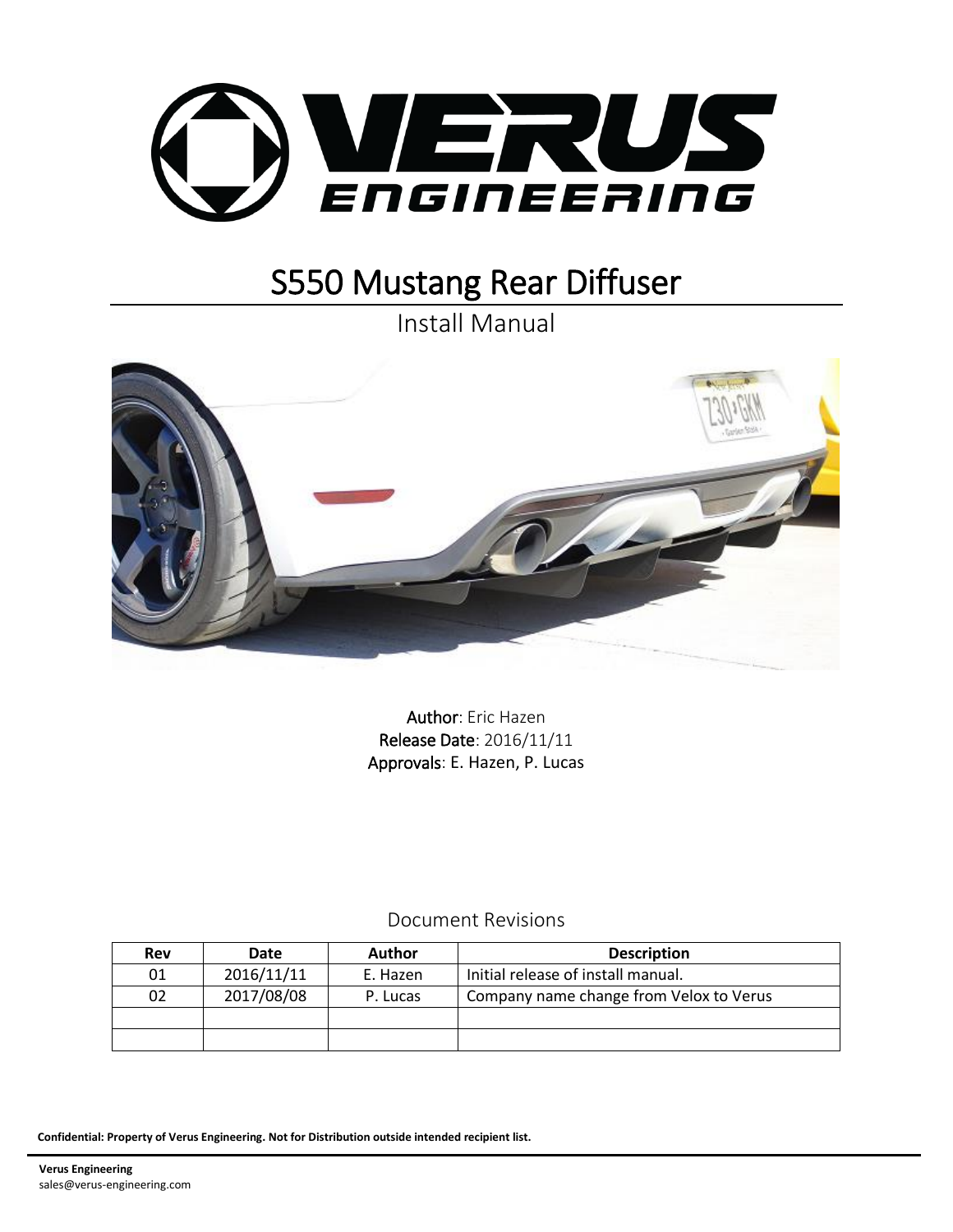

Install Manual



Author: Eric Hazen Release Date: 2016/11/11 Approvals: E. Hazen, P. Lucas

## Document Revisions

| Rev | Date       | <b>Author</b> | <b>Description</b>                      |  |
|-----|------------|---------------|-----------------------------------------|--|
| 01  | 2016/11/11 | E. Hazen      | Initial release of install manual.      |  |
| 02  | 2017/08/08 | P. Lucas      | Company name change from Velox to Verus |  |
|     |            |               |                                         |  |
|     |            |               |                                         |  |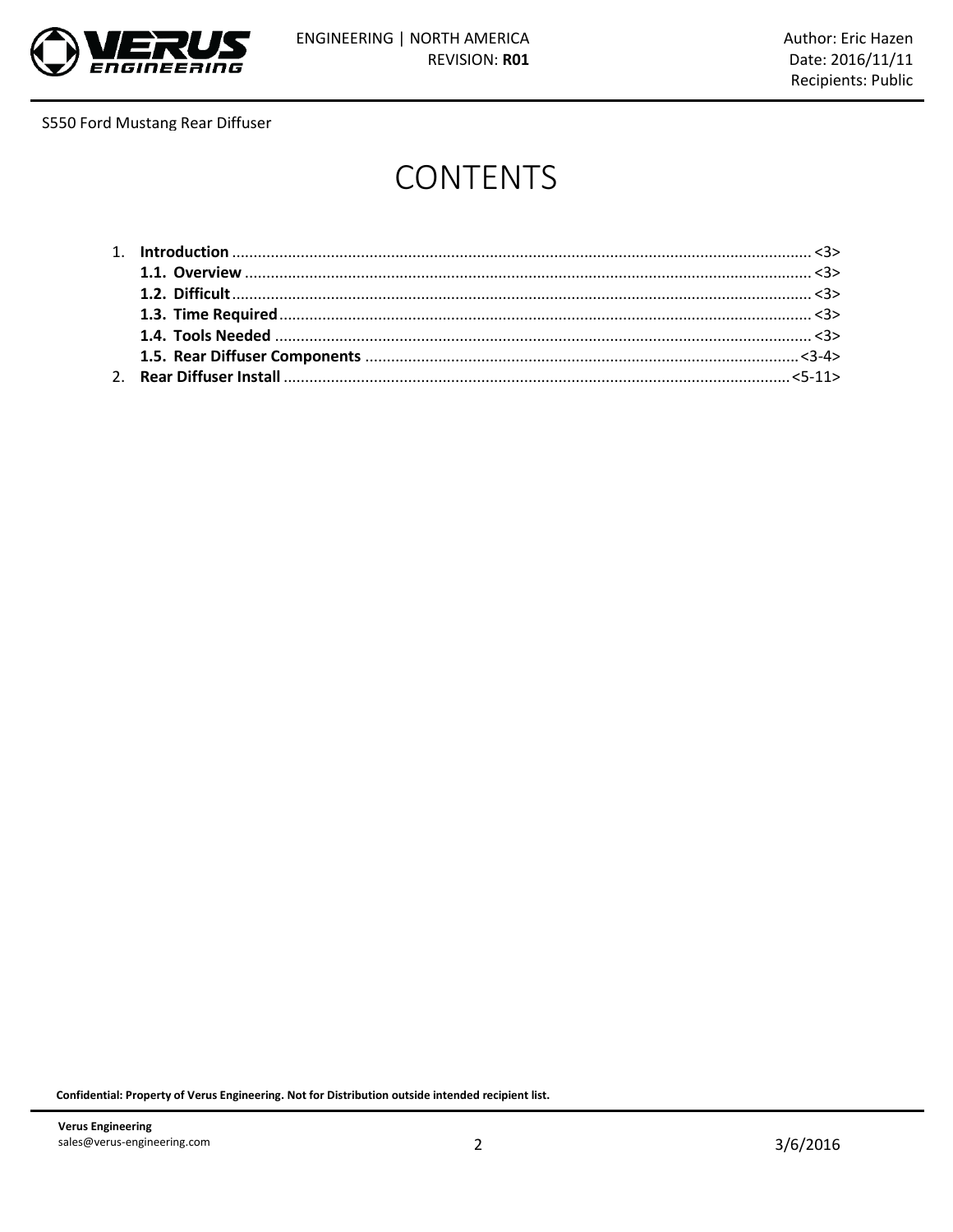

# **CONTENTS**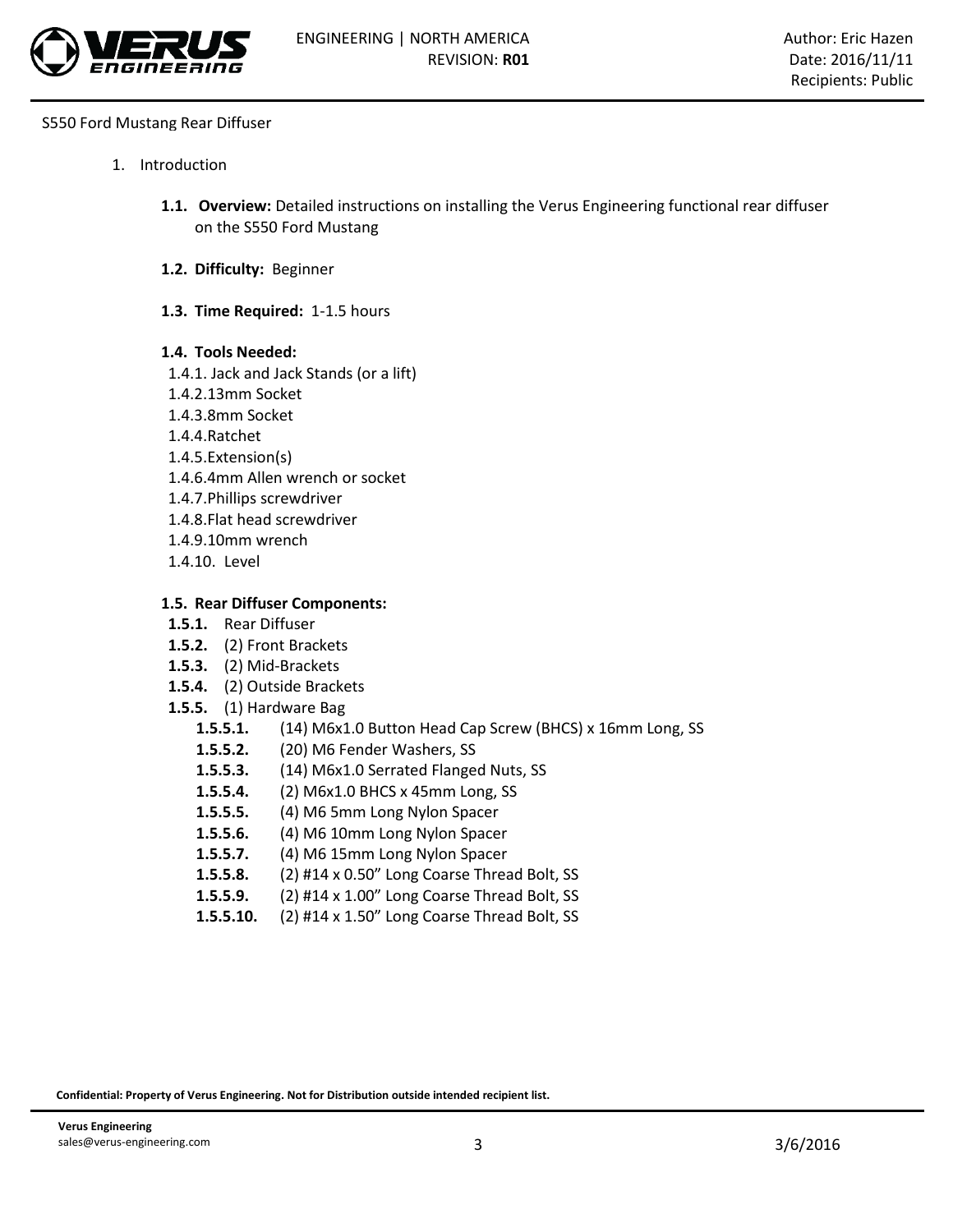

- 1. Introduction
	- **1.1. Overview:** Detailed instructions on installing the Verus Engineering functional rear diffuser on the S550 Ford Mustang
	- **1.2. Difficulty:** Beginner
	- **1.3. Time Required:** 1-1.5 hours
	- **1.4. Tools Needed:**
	- 1.4.1. Jack and Jack Stands (or a lift)
	- 1.4.2.13mm Socket
	- 1.4.3.8mm Socket
	- 1.4.4.Ratchet
	- 1.4.5.Extension(s)
	- 1.4.6.4mm Allen wrench or socket
	- 1.4.7.Phillips screwdriver
	- 1.4.8.Flat head screwdriver
	- 1.4.9.10mm wrench
	- 1.4.10. Level

## **1.5. Rear Diffuser Components:**

- **1.5.1.** Rear Diffuser
- **1.5.2.** (2) Front Brackets
- **1.5.3.** (2) Mid-Brackets
- **1.5.4.** (2) Outside Brackets
- **1.5.5.** (1) Hardware Bag
	- **1.5.5.1.** (14) M6x1.0 Button Head Cap Screw (BHCS) x 16mm Long, SS
	- **1.5.5.2.** (20) M6 Fender Washers, SS
	- **1.5.5.3.** (14) M6x1.0 Serrated Flanged Nuts, SS
	- **1.5.5.4.** (2) M6x1.0 BHCS x 45mm Long, SS
	- **1.5.5.5.** (4) M6 5mm Long Nylon Spacer
	- **1.5.5.6.** (4) M6 10mm Long Nylon Spacer
	- **1.5.5.7.** (4) M6 15mm Long Nylon Spacer
	- **1.5.5.8.** (2) #14 x 0.50" Long Coarse Thread Bolt, SS
	- **1.5.5.9.** (2) #14 x 1.00" Long Coarse Thread Bolt, SS
	- **1.5.5.10.** (2) #14 x 1.50" Long Coarse Thread Bolt, SS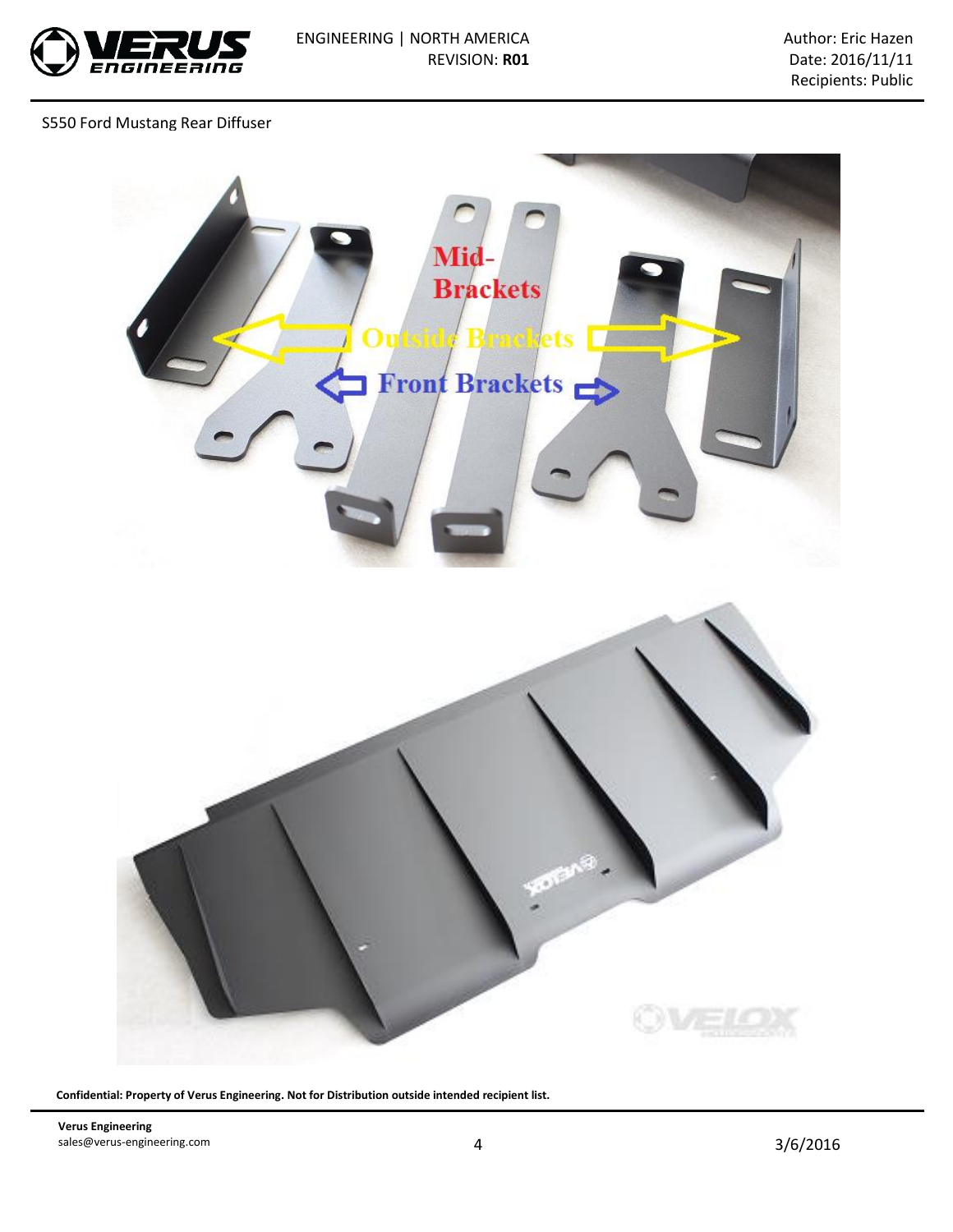

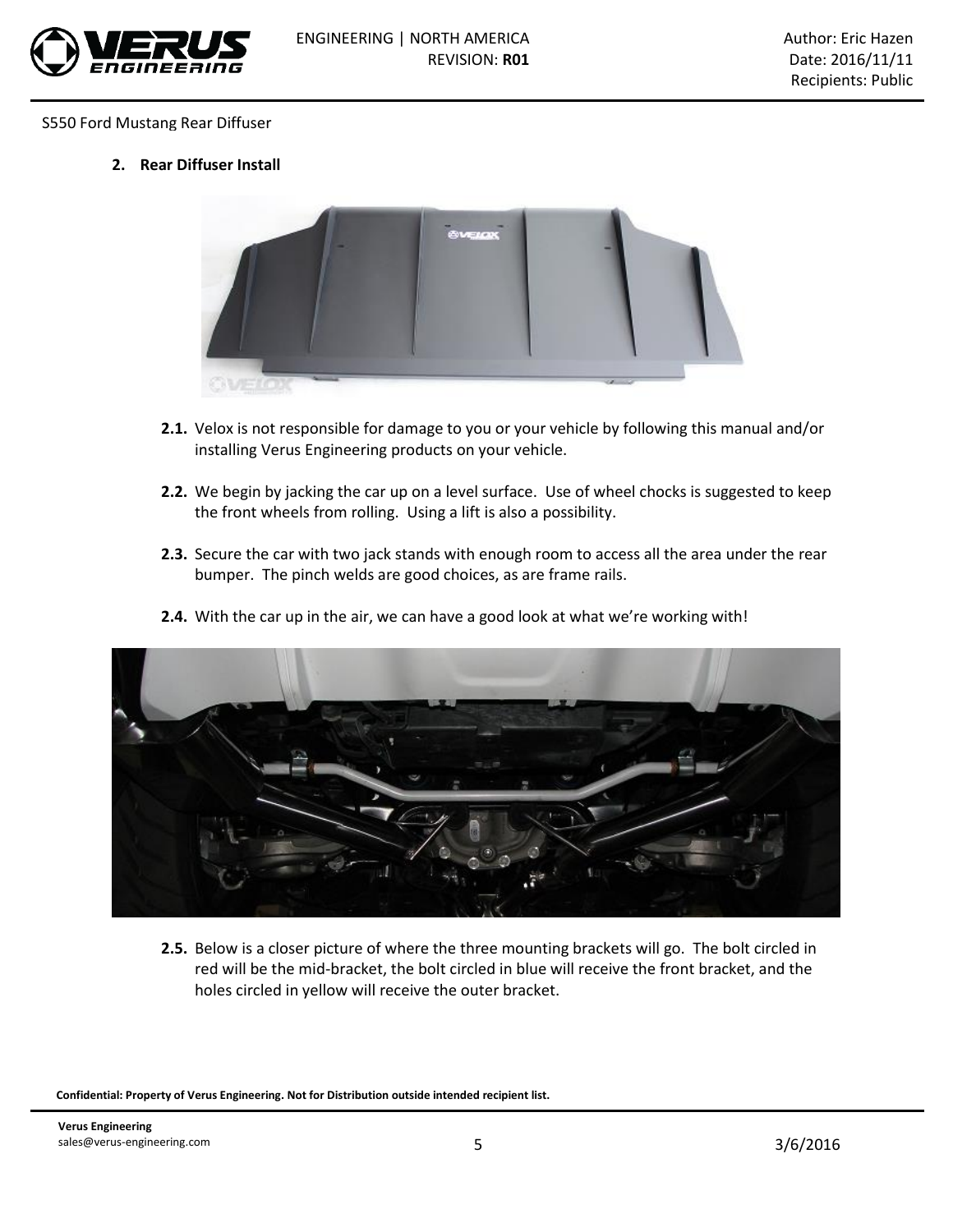

**2. Rear Diffuser Install**



- **2.1.** Velox is not responsible for damage to you or your vehicle by following this manual and/or installing Verus Engineering products on your vehicle.
- **2.2.** We begin by jacking the car up on a level surface. Use of wheel chocks is suggested to keep the front wheels from rolling. Using a lift is also a possibility.
- **2.3.** Secure the car with two jack stands with enough room to access all the area under the rear bumper. The pinch welds are good choices, as are frame rails.



**2.4.** With the car up in the air, we can have a good look at what we're working with!

**2.5.** Below is a closer picture of where the three mounting brackets will go. The bolt circled in red will be the mid-bracket, the bolt circled in blue will receive the front bracket, and the holes circled in yellow will receive the outer bracket.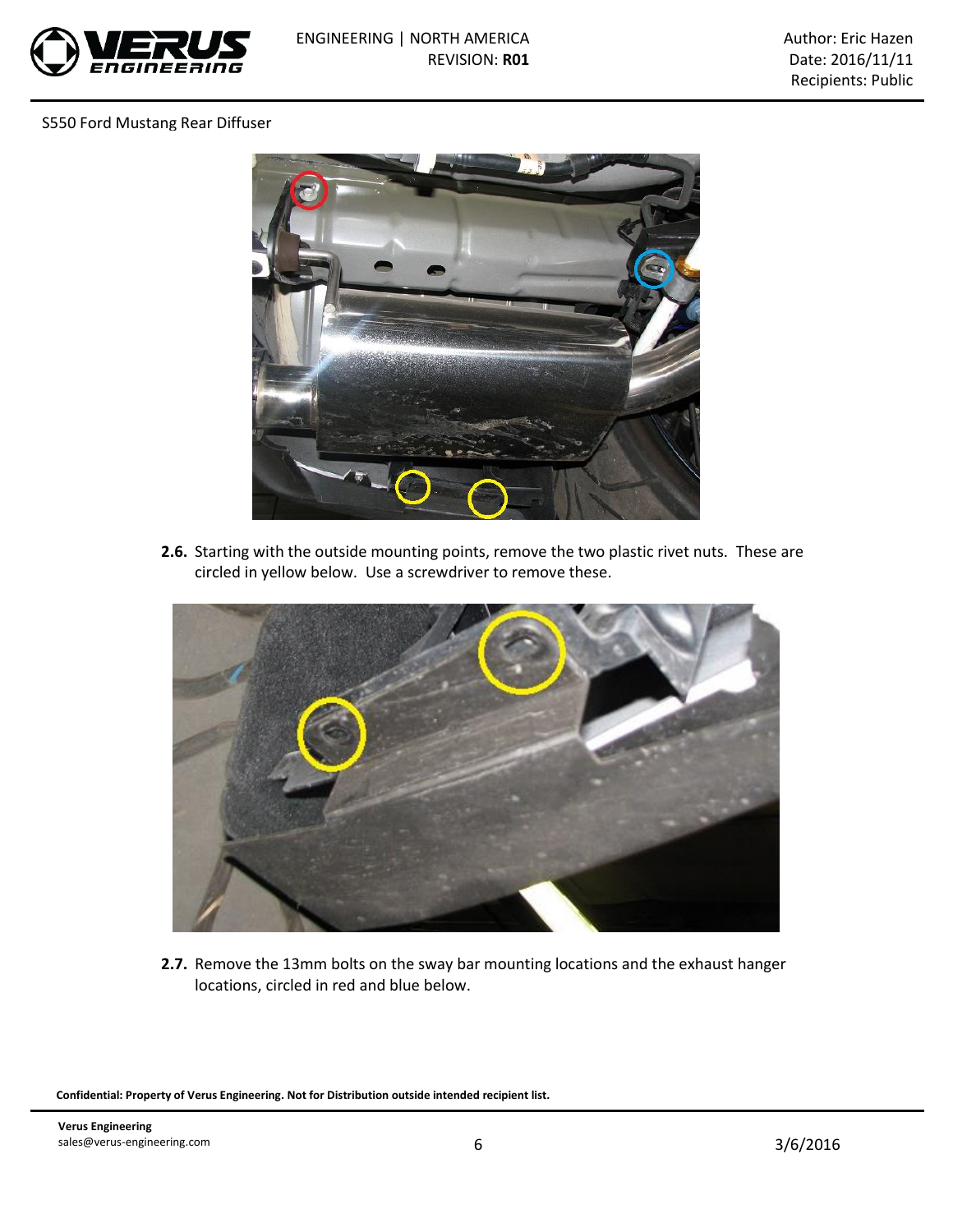



**2.6.** Starting with the outside mounting points, remove the two plastic rivet nuts. These are circled in yellow below. Use a screwdriver to remove these.



**2.7.** Remove the 13mm bolts on the sway bar mounting locations and the exhaust hanger locations, circled in red and blue below.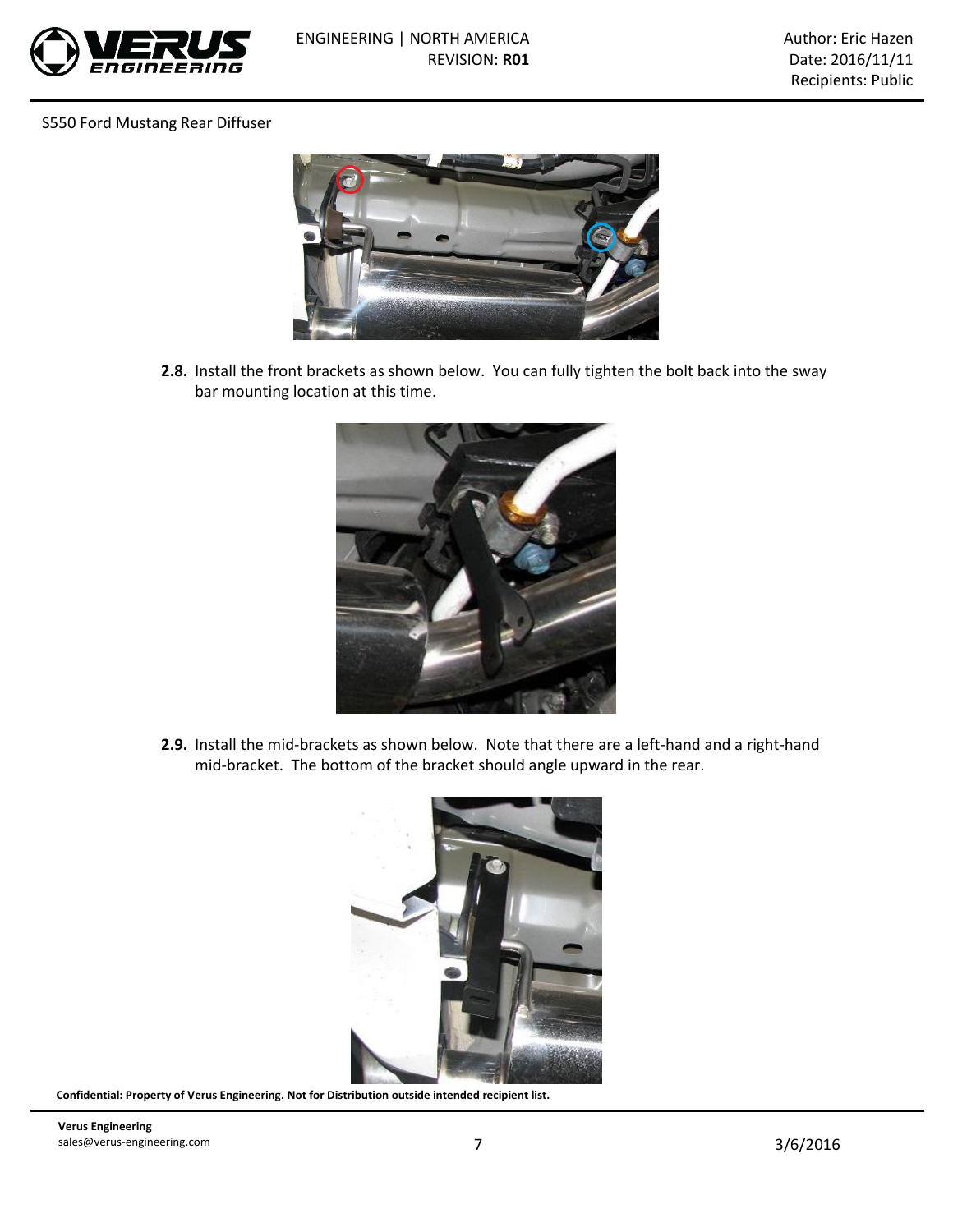



**2.8.** Install the front brackets as shown below. You can fully tighten the bolt back into the sway bar mounting location at this time.



**2.9.** Install the mid-brackets as shown below. Note that there are a left-hand and a right-hand mid-bracket. The bottom of the bracket should angle upward in the rear.

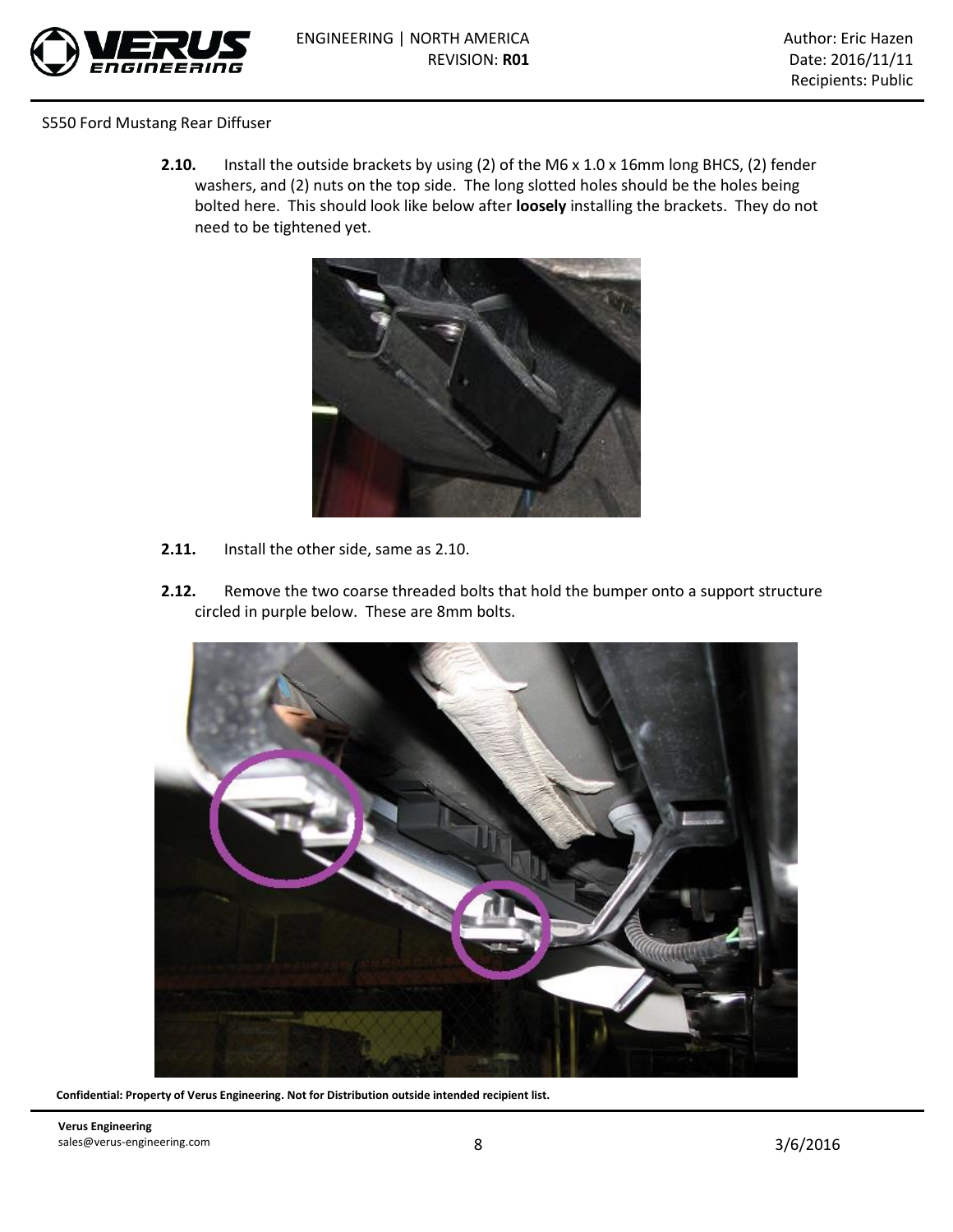

**2.10.** Install the outside brackets by using (2) of the M6 x 1.0 x 16mm long BHCS, (2) fender washers, and (2) nuts on the top side. The long slotted holes should be the holes being bolted here. This should look like below after **loosely** installing the brackets. They do not need to be tightened yet.



- **2.11.** Install the other side, same as 2.10.
- **2.12.** Remove the two coarse threaded bolts that hold the bumper onto a support structure circled in purple below. These are 8mm bolts.



**Confidential: Property of Verus Engineering. Not for Distribution outside intended recipient list.**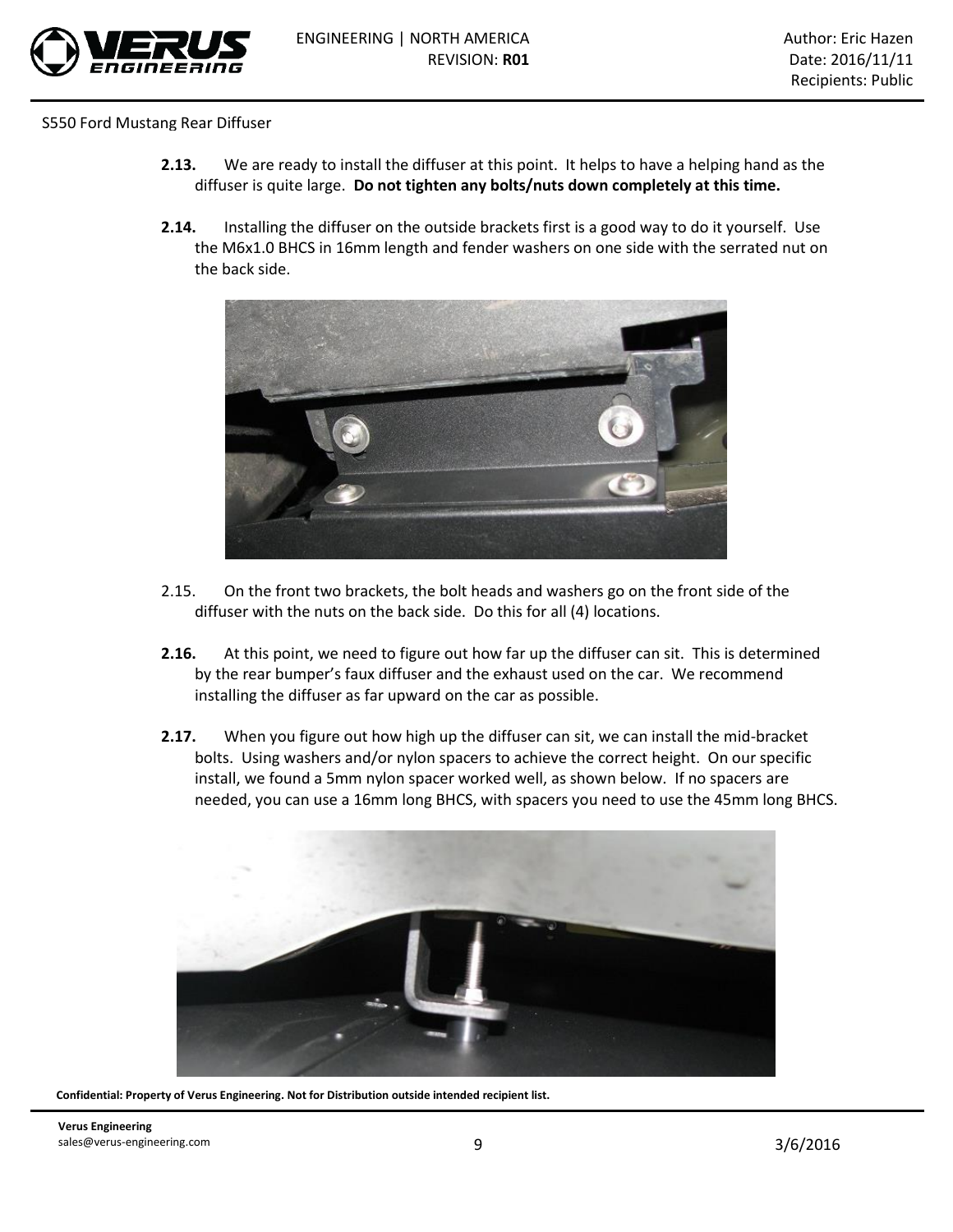

- **2.13.** We are ready to install the diffuser at this point. It helps to have a helping hand as the diffuser is quite large. **Do not tighten any bolts/nuts down completely at this time.**
- **2.14.** Installing the diffuser on the outside brackets first is a good way to do it yourself. Use the M6x1.0 BHCS in 16mm length and fender washers on one side with the serrated nut on the back side.



- 2.15. On the front two brackets, the bolt heads and washers go on the front side of the diffuser with the nuts on the back side. Do this for all (4) locations.
- **2.16.** At this point, we need to figure out how far up the diffuser can sit. This is determined by the rear bumper's faux diffuser and the exhaust used on the car. We recommend installing the diffuser as far upward on the car as possible.
- **2.17.** When you figure out how high up the diffuser can sit, we can install the mid-bracket bolts. Using washers and/or nylon spacers to achieve the correct height. On our specific install, we found a 5mm nylon spacer worked well, as shown below. If no spacers are needed, you can use a 16mm long BHCS, with spacers you need to use the 45mm long BHCS.

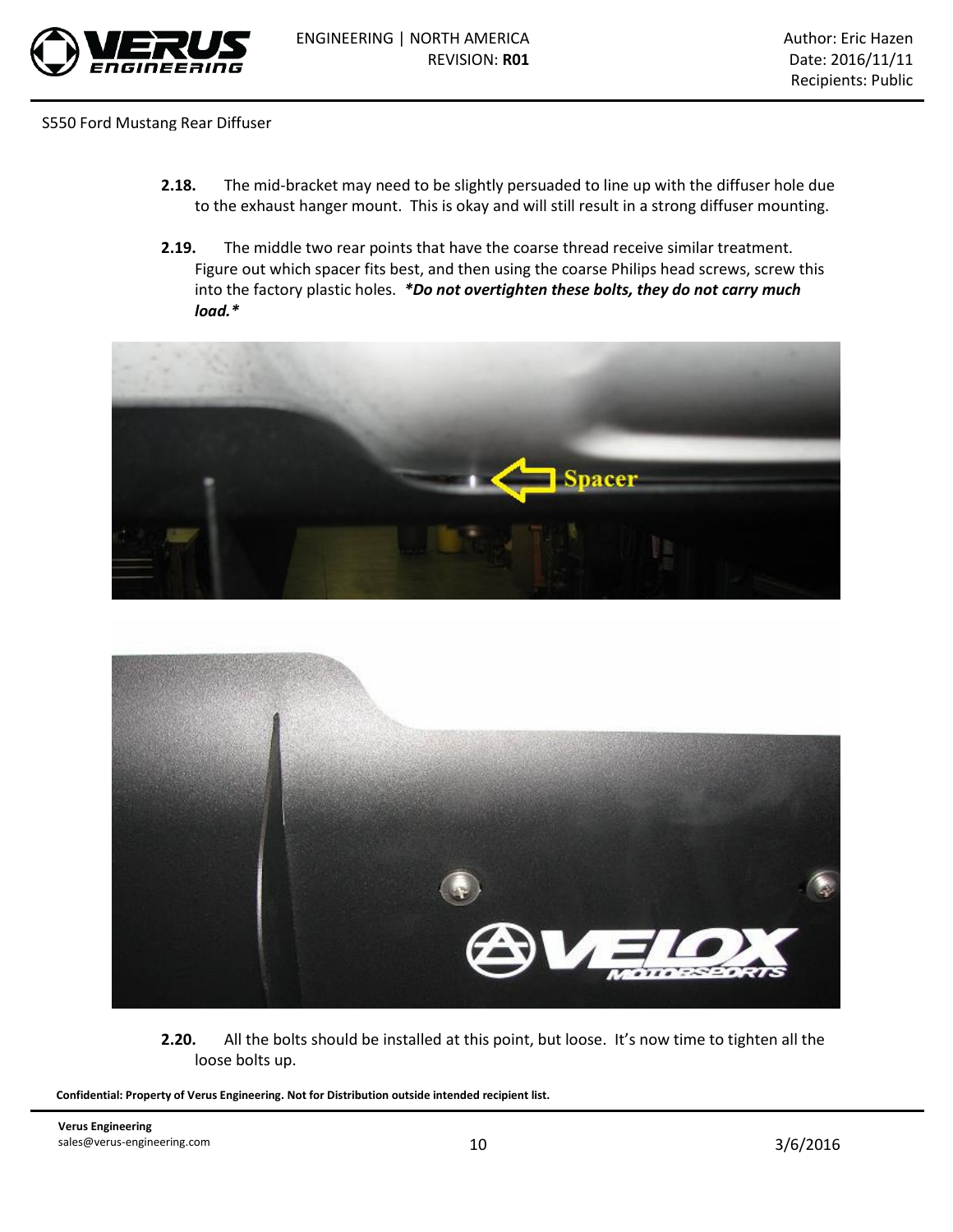

- **2.18.** The mid-bracket may need to be slightly persuaded to line up with the diffuser hole due to the exhaust hanger mount. This is okay and will still result in a strong diffuser mounting.
- **2.19.** The middle two rear points that have the coarse thread receive similar treatment. Figure out which spacer fits best, and then using the coarse Philips head screws, screw this into the factory plastic holes. *\*Do not overtighten these bolts, they do not carry much load.\**





**2.20.** All the bolts should be installed at this point, but loose. It's now time to tighten all the loose bolts up.